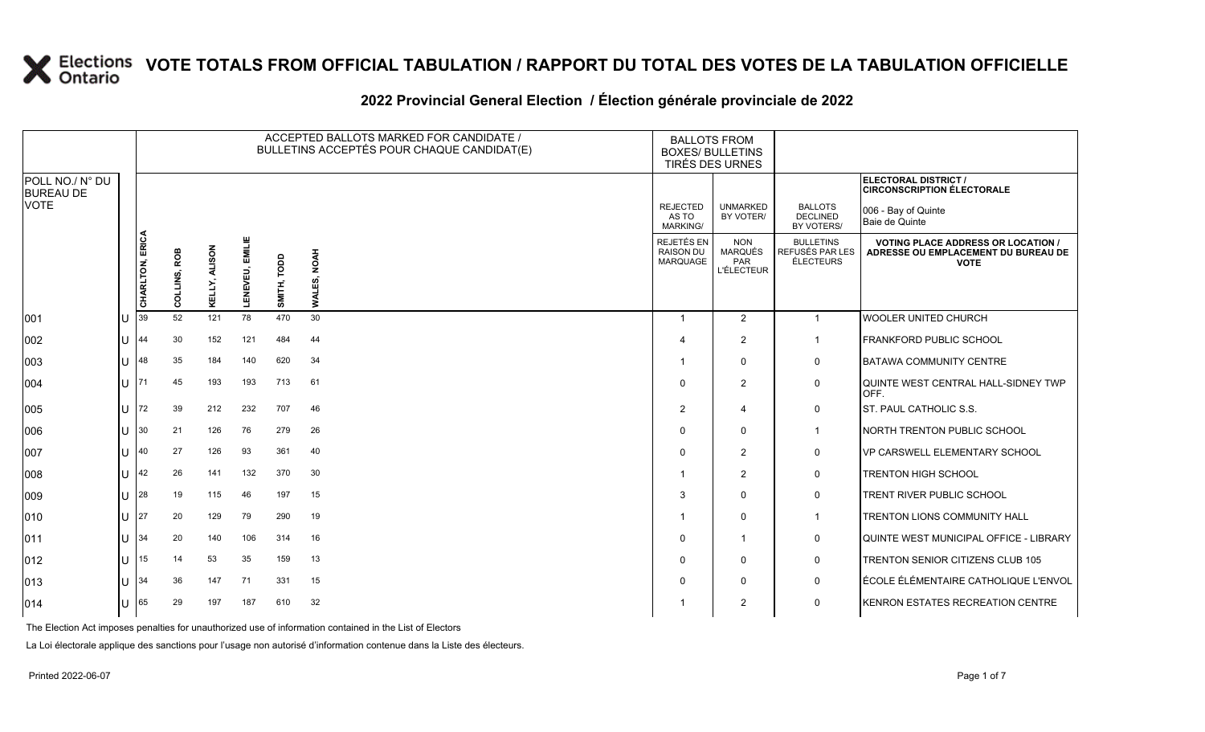#### 2022 Provincial General Election / Election générale provinciale de 2022

|                                     |              |                 | ACCEPTED BALLOTS MARKED FOR CANDIDATE /<br><b>BALLOTS FROM</b><br>BULLETINS ACCEPTÉS POUR CHAQUE CANDIDAT(E)<br><b>BOXES/ BULLETINS</b><br>TIRÉS DES URNES |                         |                   |                |                       |                                            |                                                   |                                                  |                                                                                               |
|-------------------------------------|--------------|-----------------|------------------------------------------------------------------------------------------------------------------------------------------------------------|-------------------------|-------------------|----------------|-----------------------|--------------------------------------------|---------------------------------------------------|--------------------------------------------------|-----------------------------------------------------------------------------------------------|
| POLL NO./ N° DU<br><b>BUREAU DE</b> |              |                 |                                                                                                                                                            |                         |                   |                |                       |                                            |                                                   |                                                  | <b>ELECTORAL DISTRICT /</b><br><b>CIRCONSCRIPTION ÉLECTORALE</b>                              |
| VOTE                                |              |                 |                                                                                                                                                            |                         |                   |                |                       | <b>REJECTED</b><br>AS TO<br>MARKING/       | <b>UNMARKED</b><br>BY VOTER/                      | <b>BALLOTS</b><br><b>DECLINED</b><br>BY VOTERS/  | 006 - Bay of Quinte<br>Baie de Quinte                                                         |
|                                     |              | CHARLTON, ERICA | COLLINS, ROB                                                                                                                                               | <b>ALISON</b><br>KELLY, | EMILIE<br>LENEVEU | TODD<br>SMITH, | <b>NOAH</b><br>WALES, | REJETÉS EN<br><b>RAISON DU</b><br>MARQUAGE | <b>NON</b><br>MARQUÉS<br>PAR<br><b>L'ÉLECTEUR</b> | <b>BULLETINS</b><br>REFUSÉS PAR LES<br>ÉLECTEURS | <b>VOTING PLACE ADDRESS OR LOCATION</b><br>ADRESSE OU EMPLACEMENT DU BUREAU DE<br><b>VOTE</b> |
| 001                                 |              | 39              | 52                                                                                                                                                         | 121                     | 78                | 470            | 30                    | $\overline{1}$                             | $\overline{2}$                                    | $\overline{1}$                                   | <b>WOOLER UNITED CHURCH</b>                                                                   |
| 002                                 |              | 44              | 30                                                                                                                                                         | 152                     | 121               | 484            | 44                    | -4                                         | $\overline{2}$                                    | $\overline{\mathbf{1}}$                          | <b>FRANKFORD PUBLIC SCHOOL</b>                                                                |
| 003                                 |              | 48              | 35                                                                                                                                                         | 184                     | 140               | 620            | 34                    |                                            | $\mathbf 0$                                       | 0                                                | <b>BATAWA COMMUNITY CENTRE</b>                                                                |
| 004                                 | ΠT           | 171             | 45                                                                                                                                                         | 193                     | 193               | 713            | 61                    | $\Omega$                                   | $\overline{2}$                                    | 0                                                | QUINTE WEST CENTRAL HALL-SIDNEY TWP<br>OFF.                                                   |
| 005                                 |              | 72              | 39                                                                                                                                                         | 212                     | 232               | 707            | 46                    | $\overline{2}$                             | 4                                                 | $\mathbf 0$                                      | <b>ST. PAUL CATHOLIC S.S.</b>                                                                 |
| 006                                 |              | 30              | 21                                                                                                                                                         | 126                     | 76                | 279            | 26                    | $\Omega$                                   | $\Omega$                                          | $\overline{1}$                                   | NORTH TRENTON PUBLIC SCHOOL                                                                   |
| 007                                 |              | 40              | 27                                                                                                                                                         | 126                     | 93                | 361            | 40                    | $\Omega$                                   | $\overline{2}$                                    | 0                                                | VP CARSWELL ELEMENTARY SCHOOL                                                                 |
| 008                                 | $\mathbf{U}$ | 42              | 26                                                                                                                                                         | 141                     | 132               | 370            | 30                    |                                            | $\overline{2}$                                    | 0                                                | TRENTON HIGH SCHOOL                                                                           |
| 009                                 |              | 28              | 19                                                                                                                                                         | 115                     | 46                | 197            | 15                    | 3                                          | $\Omega$                                          | 0                                                | TRENT RIVER PUBLIC SCHOOL                                                                     |
| 010                                 |              | 127             | 20                                                                                                                                                         | 129                     | 79                | 290            | 19                    |                                            | $\mathbf 0$                                       | $\mathbf{1}$                                     | <b>TRENTON LIONS COMMUNITY HALL</b>                                                           |
| 011                                 |              | 34              | 20                                                                                                                                                         | 140                     | 106               | 314            | 16                    | $\mathbf 0$                                | $\overline{1}$                                    | 0                                                | QUINTE WEST MUNICIPAL OFFICE - LIBRARY                                                        |
| 012                                 | $\mathbf{L}$ | 15              | 14                                                                                                                                                         | 53                      | 35                | 159            | 13                    | $\Omega$                                   | $\mathbf 0$                                       | 0                                                | TRENTON SENIOR CITIZENS CLUB 105                                                              |
| 013                                 |              | 34              | 36                                                                                                                                                         | 147                     | 71                | 331            | 15                    | $\mathbf 0$                                | 0                                                 | 0                                                | ÉCOLE ÉLÉMENTAIRE CATHOLIQUE L'ENVOL                                                          |
| 014                                 |              | 65              | 29                                                                                                                                                         | 197                     | 187               | 610            | 32                    |                                            | 2                                                 | 0                                                | KENRON ESTATES RECREATION CENTRE                                                              |

The Election Act imposes penalties for unauthorized use of information contained in the List of Electors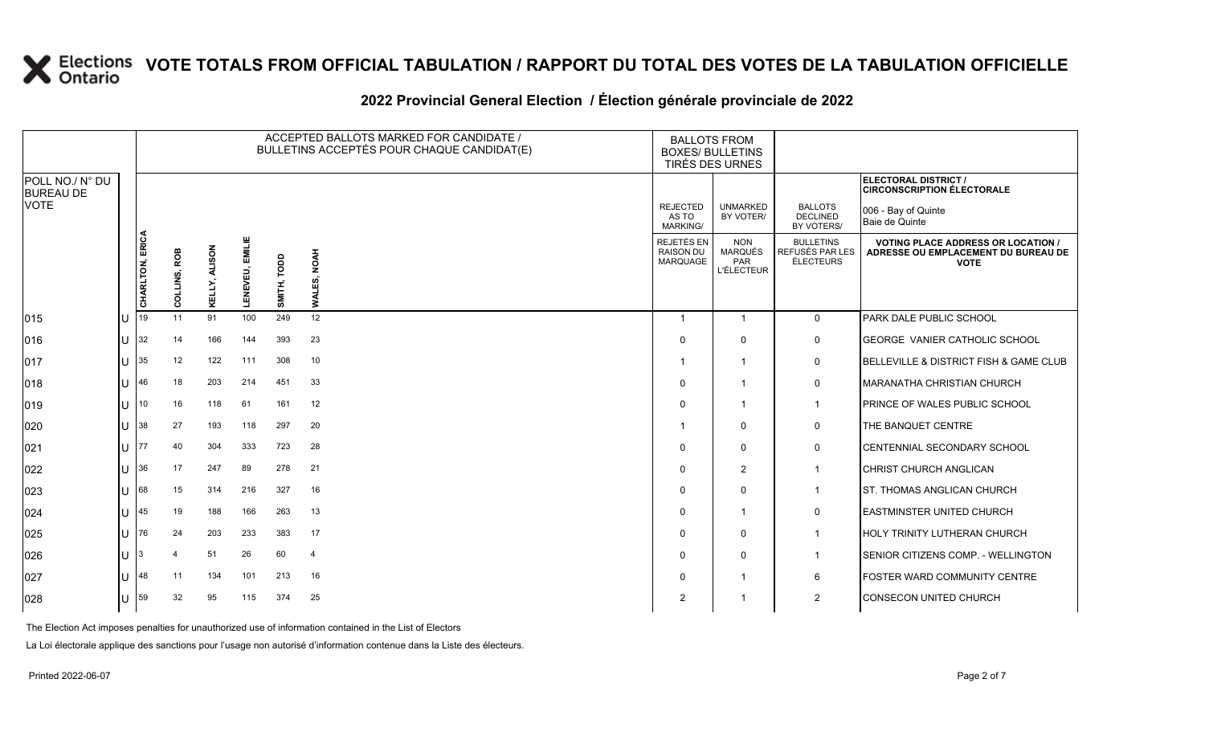#### **2022 Provincial General Election / Élection générale provinciale de 2022**

|                                     |              |                 |              |                         |                    | ACCEPTED BALLOTS MARKED FOR CANDIDATE /<br>BULLETINS ACCEPTÉS POUR CHAQUE CANDIDAT(E) |                |                                            | <b>BALLOTS FROM</b><br><b>BOXES/ BULLETINS</b><br>TIRÉS DES URNES |                                                         |                                                                                                 |  |
|-------------------------------------|--------------|-----------------|--------------|-------------------------|--------------------|---------------------------------------------------------------------------------------|----------------|--------------------------------------------|-------------------------------------------------------------------|---------------------------------------------------------|-------------------------------------------------------------------------------------------------|--|
| POLL NO./ N° DU<br><b>BUREAU DE</b> |              |                 |              |                         |                    |                                                                                       |                |                                            |                                                                   |                                                         | ELECTORAL DISTRICT /<br><b>CIRCONSCRIPTION ÉLECTORALE</b>                                       |  |
| <b>VOTE</b>                         |              |                 |              |                         |                    |                                                                                       |                | <b>REJECTED</b><br>AS TO<br>MARKING/       | <b>UNMARKED</b><br>BY VOTER/                                      | <b>BALLOTS</b><br><b>DECLINED</b><br>BY VOTERS/         | 006 - Bay of Quinte<br>Baie de Quinte                                                           |  |
|                                     |              | CHARLTON, ERICA | COLLINS, ROB | <b>ALISON</b><br>KELLY, | EMILIE<br>LENEVEU, | SMITH, TODD                                                                           | WALES, NOAH    | REJETÉS EN<br><b>RAISON DU</b><br>MARQUAGE | <b>NON</b><br><b>MARQUÉS</b><br>PAR<br><b>L'ÉLECTEUR</b>          | <b>BULLETINS</b><br>REFUSÉS PAR LES<br><b>ÉLECTEURS</b> | <b>VOTING PLACE ADDRESS OR LOCATION /</b><br>ADRESSE OU EMPLACEMENT DU BUREAU DE<br><b>VOTE</b> |  |
| 015                                 | $\cup$       | 19              | 11           | 91                      | 100                | 249                                                                                   | 12             | -1                                         | $\overline{1}$                                                    | $\mathbf 0$                                             | PARK DALE PUBLIC SCHOOL                                                                         |  |
| 016                                 | lU.          | $32$            | 14           | 166                     | 144                | 393                                                                                   | 23             | $\Omega$                                   | $\mathbf{0}$                                                      | 0                                                       | GEORGE VANIER CATHOLIC SCHOOL                                                                   |  |
| 017                                 | lu           | 135             | 12           | 122                     | 111                | 308                                                                                   | 10             | -1                                         | -1                                                                | $\mathbf 0$                                             | BELLEVILLE & DISTRICT FISH & GAME CLUB                                                          |  |
| 018                                 | U            | 46              | 18           | 203                     | 214                | 451                                                                                   | 33             | $\Omega$                                   | -1                                                                | 0                                                       | MARANATHA CHRISTIAN CHURCH                                                                      |  |
| 019                                 | lu           | 10              | 16           | 118                     | 61                 | 161                                                                                   | 12             | $\Omega$                                   | -1                                                                | $\overline{1}$                                          | <b>PRINCE OF WALES PUBLIC SCHOOL</b>                                                            |  |
| 020                                 | lU           | 38              | 27           | 193                     | 118                | 297                                                                                   | 20             |                                            | $\mathbf{0}$                                                      | 0                                                       | THE BANQUET CENTRE                                                                              |  |
| 021                                 | U            | 177             | 40           | 304                     | 333                | 723                                                                                   | 28             | $\Omega$                                   | $\Omega$                                                          | $\mathbf 0$                                             | <b>CENTENNIAL SECONDARY SCHOOL</b>                                                              |  |
| 022                                 |              | $U$ 36          | 17           | 247                     | 89                 | 278                                                                                   | 21             | $\Omega$                                   | 2                                                                 | $\mathbf 1$                                             | CHRIST CHURCH ANGLICAN                                                                          |  |
| 023                                 | U            | 68              | 15           | 314                     | 216                | 327                                                                                   | 16             | $\Omega$                                   | $\Omega$                                                          | $\mathbf{1}$                                            | <b>ST. THOMAS ANGLICAN CHURCH</b>                                                               |  |
| 024                                 | $\cup$       | 45              | 19           | 188                     | 166                | 263                                                                                   | 13             | $\Omega$                                   | -1                                                                | 0                                                       | <b>LEASTMINSTER UNITED CHURCH</b>                                                               |  |
| 025                                 | lU           | 76              | 24           | 203                     | 233                | 383                                                                                   | 17             | $\Omega$                                   | $\Omega$                                                          | $\overline{1}$                                          | <b>HOLY TRINITY LUTHERAN CHURCH</b>                                                             |  |
| 026                                 | lU.          |                 |              | 51                      | 26                 | 60                                                                                    | $\overline{4}$ | $\Omega$                                   | $\mathbf{0}$                                                      | $\mathbf{1}$                                            | SENIOR CITIZENS COMP. - WELLINGTON                                                              |  |
| 027                                 | $\mathbf{U}$ | 48              | 11           | 134                     | 101                | 213                                                                                   | 16             | $\Omega$                                   |                                                                   | 6                                                       | <b>FOSTER WARD COMMUNITY CENTRE</b>                                                             |  |
| 028                                 |              | U 59            | 32           | 95                      | 115                | 374                                                                                   | 25             | 2                                          |                                                                   | 2                                                       | <b>CONSECON UNITED CHURCH</b>                                                                   |  |

The Election Act imposes penalties for unauthorized use of information contained in the List of Electors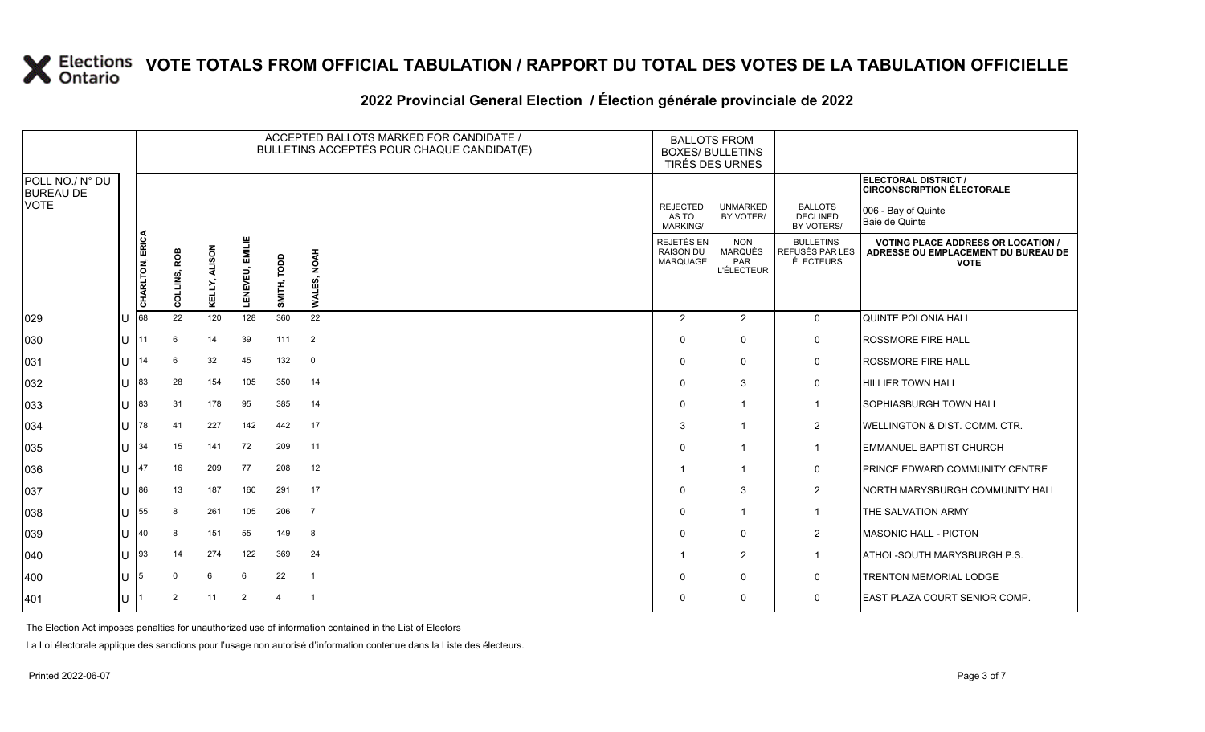### **2022 Provincial General Election / Élection générale provinciale de 2022**

|                                     |                       |                 | ACCEPTED BALLOTS MARKED FOR CANDIDATE /<br><b>BALLOTS FROM</b><br>BULLETINS ACCEPTÉS POUR CHAQUE CANDIDAT(E)<br><b>BOXES/ BULLETINS</b><br>TIRÉS DES URNES |                         |                    |                |                         |                                      |                                                          |                                                         |                                                                                                 |
|-------------------------------------|-----------------------|-----------------|------------------------------------------------------------------------------------------------------------------------------------------------------------|-------------------------|--------------------|----------------|-------------------------|--------------------------------------|----------------------------------------------------------|---------------------------------------------------------|-------------------------------------------------------------------------------------------------|
| POLL NO./ N° DU<br><b>BUREAU DE</b> |                       |                 |                                                                                                                                                            |                         |                    |                |                         |                                      |                                                          |                                                         | ELECTORAL DISTRICT /<br><b>CIRCONSCRIPTION ÉLECTORALE</b>                                       |
| <b>VOTE</b>                         |                       |                 |                                                                                                                                                            |                         |                    |                |                         | <b>REJECTED</b><br>AS TO<br>MARKING/ | <b>UNMARKED</b><br>BY VOTER/                             | <b>BALLOTS</b><br><b>DECLINED</b><br>BY VOTERS/         | 006 - Bay of Quinte<br>Baie de Quinte                                                           |
|                                     |                       | CHARLTON, ERICA | COLLINS, ROB                                                                                                                                               | <b>ALISON</b><br>KELLY, | EMILIE<br>LENEVEU, | SMITH, TODD    | <b>NOAH</b><br>WALES,   | REJETÉS EN<br>RAISON DU<br>MARQUAGE  | <b>NON</b><br><b>MARQUÉS</b><br>PAR<br><b>L'ÉLECTEUR</b> | <b>BULLETINS</b><br>REFUSÉS PAR LES<br><b>ÉLECTEURS</b> | <b>VOTING PLACE ADDRESS OR LOCATION /</b><br>ADRESSE OU EMPLACEMENT DU BUREAU DE<br><b>VOTE</b> |
| 029                                 | lU.                   | 68              | 22                                                                                                                                                         | 120                     | 128                | 360            | 22                      | $\overline{2}$                       | $\overline{2}$                                           | $\mathbf 0$                                             | <b>QUINTE POLONIA HALL</b>                                                                      |
| 030                                 | lu                    | 11              | 6                                                                                                                                                          | 14                      | 39                 | 111            | $\overline{2}$          | $\Omega$                             | $\mathbf 0$                                              | 0                                                       | <b>ROSSMORE FIRE HALL</b>                                                                       |
| 031                                 | $11$ 14               |                 | 6                                                                                                                                                          | 32                      | 45                 | 132            | $\overline{\mathbf{0}}$ | $\Omega$                             | $\Omega$                                                 | 0                                                       | <b>ROSSMORE FIRE HALL</b>                                                                       |
| 032                                 | $ U ^{83}$            |                 | 28                                                                                                                                                         | 154                     | 105                | 350            | 14                      | $\Omega$                             | 3                                                        | 0                                                       | <b>HILLIER TOWN HALL</b>                                                                        |
| 033                                 | U                     | 83              | 31                                                                                                                                                         | 178                     | 95                 | 385            | 14                      | $\Omega$                             | -1                                                       | $\mathbf{1}$                                            | <b>SOPHIASBURGH TOWN HALL</b>                                                                   |
| 034                                 | <b>U</b> 78           |                 | 41                                                                                                                                                         | 227                     | 142                | 442            | 17                      | 3                                    | -1                                                       | $\overline{2}$                                          | <b>WELLINGTON &amp; DIST. COMM. CTR.</b>                                                        |
| 035                                 | $ U $ 34              |                 | 15                                                                                                                                                         | 141                     | 72                 | 209            | 11                      | $\Omega$                             | -1                                                       | $\overline{1}$                                          | <b>EMMANUEL BAPTIST CHURCH</b>                                                                  |
| 036                                 | U                     | 47              | 16                                                                                                                                                         | 209                     | 77                 | 208            | 12                      |                                      | -1                                                       | 0                                                       | PRINCE EDWARD COMMUNITY CENTRE                                                                  |
| 037                                 | U 86                  |                 | 13                                                                                                                                                         | 187                     | 160                | 291            | 17                      | $\Omega$                             | 3                                                        | $\overline{2}$                                          | NORTH MARYSBURGH COMMUNITY HALL                                                                 |
| 038                                 | $U$ 55                |                 | 8                                                                                                                                                          | 261                     | 105                | 206            | $\overline{7}$          | $\Omega$                             | -1                                                       | $\mathbf{1}$                                            | THE SALVATION ARMY                                                                              |
| 039                                 | U                     | 40              | 8                                                                                                                                                          | 151                     | 55                 | 149            | 8                       | $\Omega$                             | $\mathbf 0$                                              | $\overline{2}$                                          | MASONIC HALL - PICTON                                                                           |
| 040                                 | $ U $ 93              |                 | 14                                                                                                                                                         | 274                     | 122                | 369            | 24                      |                                      | $\overline{2}$                                           | $\mathbf{1}$                                            | ATHOL-SOUTH MARYSBURGH P.S.                                                                     |
| 400                                 | $\lfloor \rfloor$   5 |                 | $\mathbf 0$                                                                                                                                                | 6                       | 6                  | 22             | $\overline{1}$          | $\Omega$                             | $\mathbf 0$                                              | 0                                                       | <b>TRENTON MEMORIAL LODGE</b>                                                                   |
| 401                                 | U                     |                 | 2                                                                                                                                                          | 11                      | $\overline{2}$     | $\overline{4}$ | $\overline{1}$          | 0                                    | $\mathbf{0}$                                             | $\mathbf 0$                                             | <b>EAST PLAZA COURT SENIOR COMP.</b>                                                            |

The Election Act imposes penalties for unauthorized use of information contained in the List of Electors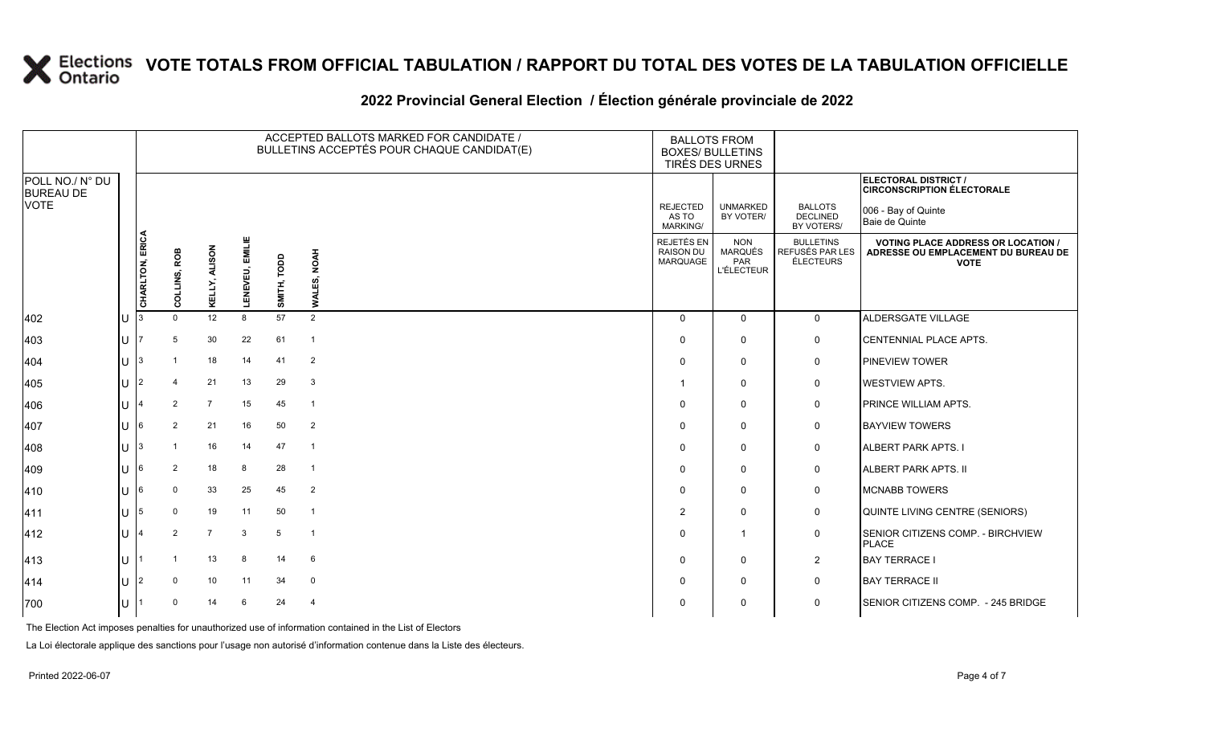### **2022 Provincial General Election / Élection générale provinciale de 2022**

|                                     |     |                 |                |                |                        |             | ACCEPTED BALLOTS MARKED FOR CANDIDATE /<br>BULLETINS ACCEPTÉS POUR CHAQUE CANDIDAT(E) | <b>BALLOTS FROM</b><br><b>BOXES/ BULLETINS</b><br>TIRÉS DES URNES |                                                          |                                                  |                                                                                                 |  |
|-------------------------------------|-----|-----------------|----------------|----------------|------------------------|-------------|---------------------------------------------------------------------------------------|-------------------------------------------------------------------|----------------------------------------------------------|--------------------------------------------------|-------------------------------------------------------------------------------------------------|--|
| POLL NO./ N° DU<br><b>BUREAU DE</b> |     |                 |                |                |                        |             |                                                                                       |                                                                   |                                                          |                                                  | ELECTORAL DISTRICT /<br><b>CIRCONSCRIPTION ÉLECTORALE</b>                                       |  |
| VOTE                                |     |                 |                |                |                        |             |                                                                                       | <b>REJECTED</b><br>AS TO<br>MARKING/                              | <b>UNMARKED</b><br>BY VOTER/                             | <b>BALLOTS</b><br><b>DECLINED</b><br>BY VOTERS/  | 006 - Bay of Quinte<br>Baie de Quinte                                                           |  |
|                                     |     | CHARLTON, ERICA | COLLINS, ROB   | KELLY, ALISON  | <b>LENEVEU, EMILIE</b> | SMITH, TODD | <b>WALES, NOAH</b>                                                                    | REJETÉS EN<br>RAISON DU<br>MARQUAGE                               | <b>NON</b><br><b>MARQUÉS</b><br>PAR<br><b>L'ÉLECTEUR</b> | <b>BULLETINS</b><br>REFUSÉS PAR LES<br>ÉLECTEURS | <b>VOTING PLACE ADDRESS OR LOCATION /</b><br>ADRESSE OU EMPLACEMENT DU BUREAU DE<br><b>VOTE</b> |  |
| 402                                 | U   |                 | $\Omega$       | 12             | 8                      | 57          | $\overline{2}$                                                                        | $\mathbf 0$                                                       | $\mathbf 0$                                              | $\mathbf{0}$                                     | ALDERSGATE VILLAGE                                                                              |  |
| 403                                 | U   |                 | 5              | 30             | 22                     | 61          | $\overline{1}$                                                                        | $\Omega$                                                          | $\mathbf 0$                                              | $\mathbf 0$                                      | <b>CENTENNIAL PLACE APTS.</b>                                                                   |  |
| 404                                 | U   |                 |                | 18             | 14                     | 41          | $\overline{2}$                                                                        | $\Omega$                                                          | $\mathbf 0$                                              | 0                                                | <b>PINEVIEW TOWER</b>                                                                           |  |
| 405                                 | U   | <u>2</u>        | $\overline{4}$ | 21             | 13                     | 29          | $\mathbf{3}$                                                                          |                                                                   | $\mathbf 0$                                              | 0                                                | <b>WESTVIEW APTS.</b>                                                                           |  |
| 406                                 |     |                 | $\overline{2}$ | $\overline{7}$ | 15                     | 45          | $\overline{1}$                                                                        | $\Omega$                                                          | $\mathbf 0$                                              | 0                                                | PRINCE WILLIAM APTS.                                                                            |  |
| 407                                 | U   |                 | $\overline{2}$ | 21             | 16                     | 50          | $\overline{2}$                                                                        | $\Omega$                                                          | $\mathbf 0$                                              | $\mathsf{O}$                                     | <b>BAYVIEW TOWERS</b>                                                                           |  |
| 408                                 | U   | 13.             | -1             | 16             | 14                     | 47          | $\overline{1}$                                                                        | $\Omega$                                                          | $\mathbf 0$                                              | $\mathbf 0$                                      | <b>ALBERT PARK APTS. I</b>                                                                      |  |
| 409                                 |     |                 | $\overline{2}$ | 18             | 8                      | 28          | $\overline{1}$                                                                        | $\Omega$                                                          | $\Omega$                                                 | $\mathsf{O}$                                     | <b>ALBERT PARK APTS. II</b>                                                                     |  |
| 410                                 |     |                 | $\mathbf 0$    | 33             | 25                     | 45          | $\overline{2}$                                                                        | $\Omega$                                                          | $\Omega$                                                 | $\mathbf 0$                                      | <b>MCNABB TOWERS</b>                                                                            |  |
| 411                                 | U   | 15              | 0              | 19             | 11                     | 50          | $\overline{1}$                                                                        | 2                                                                 | $\mathbf 0$                                              | $\mathbf 0$                                      | QUINTE LIVING CENTRE (SENIORS)                                                                  |  |
| 412                                 | 41. |                 | $\overline{2}$ | $\overline{7}$ | $\mathbf{3}$           | 5           | $\overline{1}$                                                                        | $\Omega$                                                          | $\overline{1}$                                           | $\mathbf 0$                                      | SENIOR CITIZENS COMP. - BIRCHVIEW<br><b>PLACE</b>                                               |  |
| 413                                 | U   |                 | -1             | 13             | 8                      | 14          | 6                                                                                     | $\Omega$                                                          | $\mathbf 0$                                              | $\overline{2}$                                   | <b>BAY TERRACE I</b>                                                                            |  |
| 414                                 |     | $\overline{2}$  | $\Omega$       | 10             | 11                     | 34          | $\mathbf 0$                                                                           | $\Omega$                                                          | $\mathbf 0$                                              | $\mathbf 0$                                      | <b>BAY TERRACE II</b>                                                                           |  |
| 700                                 | U   |                 | $\Omega$       | 14             | 6                      | 24          | 4                                                                                     | 0                                                                 | $\mathbf 0$                                              | $\mathbf 0$                                      | SENIOR CITIZENS COMP. - 245 BRIDGE                                                              |  |

The Election Act imposes penalties for unauthorized use of information contained in the List of Electors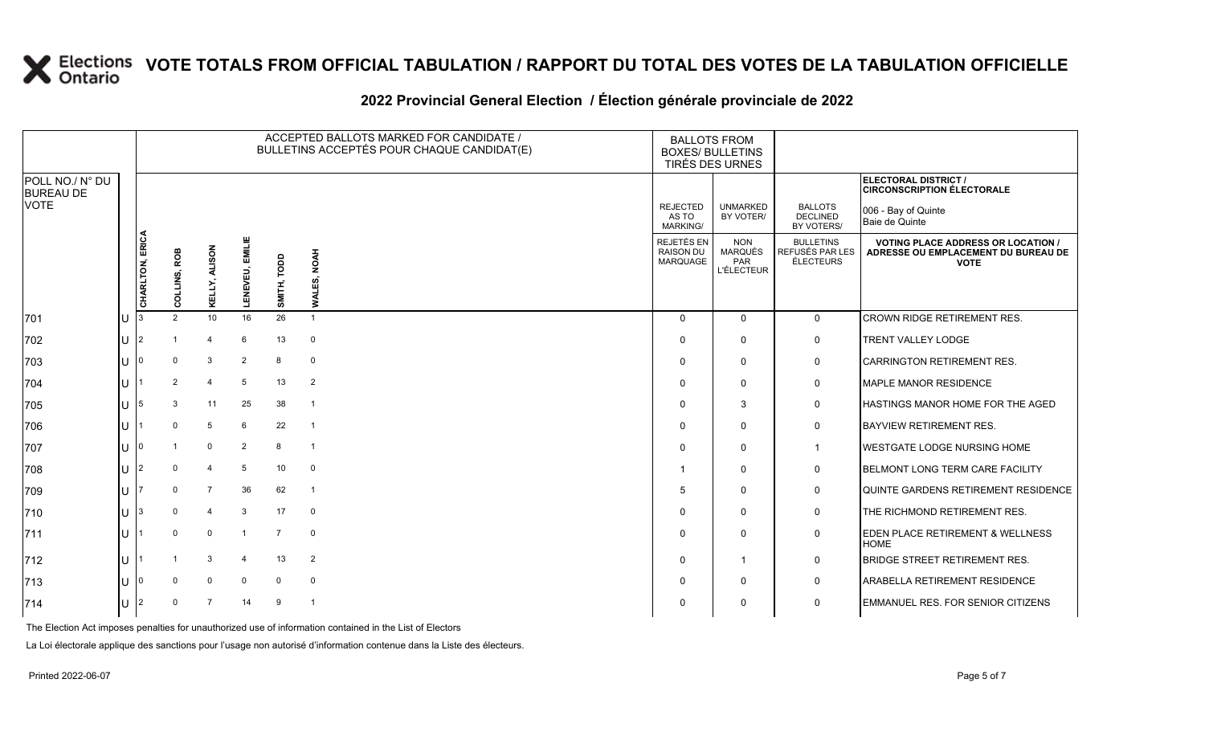#### **2022 Provincial General Election / Élection générale provinciale de 2022**

|                                     |                 |              |                 |                    |                | ACCEPTED BALLOTS MARKED FOR CANDIDATE /<br>BULLETINS ACCEPTÉS POUR CHAQUE CANDIDAT(E) | <b>BALLOTS FROM</b><br><b>BOXES/ BULLETINS</b><br>TIRÉS DES URNES |                                                   |                                                  |                                                                                                 |
|-------------------------------------|-----------------|--------------|-----------------|--------------------|----------------|---------------------------------------------------------------------------------------|-------------------------------------------------------------------|---------------------------------------------------|--------------------------------------------------|-------------------------------------------------------------------------------------------------|
| POLL NO./ N° DU<br><b>BUREAU DE</b> |                 |              |                 |                    |                |                                                                                       |                                                                   |                                                   |                                                  | ELECTORAL DISTRICT /<br><b>CIRCONSCRIPTION ÉLECTORALE</b>                                       |
| VOTE                                |                 |              |                 |                    |                |                                                                                       | <b>REJECTED</b><br>AS TO<br>MARKING/                              | <b>UNMARKED</b><br>BY VOTER/                      | <b>BALLOTS</b><br><b>DECLINED</b><br>BY VOTERS/  | 006 - Bay of Quinte<br>Baie de Quinte                                                           |
|                                     | CHARLTON, ERICA | COLLINS, ROB | KELLY, ALISON   | EMILIE<br>LENEVEU, | SMITH, TODD    | WALES, NOAH                                                                           | REJETÉS EN<br><b>RAISON DU</b><br>MARQUAGE                        | <b>NON</b><br>MARQUÉS<br>PAR<br><b>L'ÉLECTEUR</b> | <b>BULLETINS</b><br>REFUSÉS PAR LES<br>ÉLECTEURS | <b>VOTING PLACE ADDRESS OR LOCATION /</b><br>ADRESSE OU EMPLACEMENT DU BUREAU DE<br><b>VOTE</b> |
| 701                                 |                 | 2            | 10 <sup>1</sup> | 16                 | 26             | $\overline{1}$                                                                        | $\Omega$                                                          | $\mathbf{0}$                                      | $\mathbf 0$                                      | <b>CROWN RIDGE RETIREMENT RES.</b>                                                              |
| 702                                 |                 |              | $\overline{4}$  | 6                  | 13             | $\mathbf 0$                                                                           | $\Omega$                                                          | $\mathbf 0$                                       | 0                                                | TRENT VALLEY LODGE                                                                              |
| 703                                 |                 | $\Omega$     | $\mathbf{3}$    | $\overline{2}$     | 8              | $\mathbf 0$                                                                           | $\Omega$                                                          | $\Omega$                                          | 0                                                | <b>CARRINGTON RETIREMENT RES.</b>                                                               |
| 704                                 |                 | 2            | $\overline{4}$  | 5                  | 13             | $\overline{2}$                                                                        | $\Omega$                                                          | $\mathbf{0}$                                      | 0                                                | MAPLE MANOR RESIDENCE                                                                           |
| 705                                 |                 | 3            | 11              | 25                 | 38             | $\overline{1}$                                                                        | $\mathbf 0$                                                       | 3                                                 | $\mathbf 0$                                      | <b>HASTINGS MANOR HOME FOR THE AGED</b>                                                         |
| 706                                 |                 | $\Omega$     | 5               | 6                  | 22             | $\overline{1}$                                                                        | $\Omega$                                                          | $\mathbf 0$                                       | $\mathsf{O}$                                     | <b>BAYVIEW RETIREMENT RES.</b>                                                                  |
| 707                                 |                 |              | $\mathbf 0$     | $\overline{2}$     | 8              | $\overline{1}$                                                                        | $\Omega$                                                          | $\mathbf{0}$                                      | $\mathbf 1$                                      | <b>IWESTGATE LODGE NURSING HOME</b>                                                             |
| 708                                 |                 | $\Omega$     | $\overline{4}$  | 5                  | 10             | $\mathbf 0$                                                                           | -1                                                                | $\Omega$                                          | 0                                                | <b>BELMONT LONG TERM CARE FACILITY</b>                                                          |
| 709                                 |                 | $\Omega$     | $\overline{7}$  | 36                 | 62             | $\overline{1}$                                                                        | 5                                                                 | $\Omega$                                          | 0                                                | QUINTE GARDENS RETIREMENT RESIDENCE                                                             |
| 710                                 |                 | $\Omega$     | $\overline{4}$  | 3                  | 17             | $\mathbf 0$                                                                           | $\Omega$                                                          | $\mathbf{0}$                                      | 0                                                | THE RICHMOND RETIREMENT RES.                                                                    |
| 711                                 |                 | $\Omega$     | $\mathbf 0$     | $\mathbf{1}$       | $\overline{7}$ | $\mathbf 0$                                                                           | $\Omega$                                                          | $\Omega$                                          | 0                                                | EDEN PLACE RETIREMENT & WELLNESS<br><b>HOME</b>                                                 |
| 712                                 |                 |              | 3               | $\overline{4}$     | 13             | $\overline{2}$                                                                        | $\Omega$                                                          | $\mathbf{1}$                                      | $\mathbf 0$                                      | <b>BRIDGE STREET RETIREMENT RES.</b>                                                            |
| 713                                 |                 | $\Omega$     | $\Omega$        | $\Omega$           | $\Omega$       | $\mathbf 0$                                                                           | $\Omega$                                                          | $\Omega$                                          | $\mathbf 0$                                      | <b>ARABELLA RETIREMENT RESIDENCE</b>                                                            |
| 714                                 |                 | $\Omega$     | 7               | 14                 | 9              | $\overline{1}$                                                                        | $\Omega$                                                          | $\Omega$                                          | 0                                                | <b>EMMANUEL RES. FOR SENIOR CITIZENS</b>                                                        |

The Election Act imposes penalties for unauthorized use of information contained in the List of Electors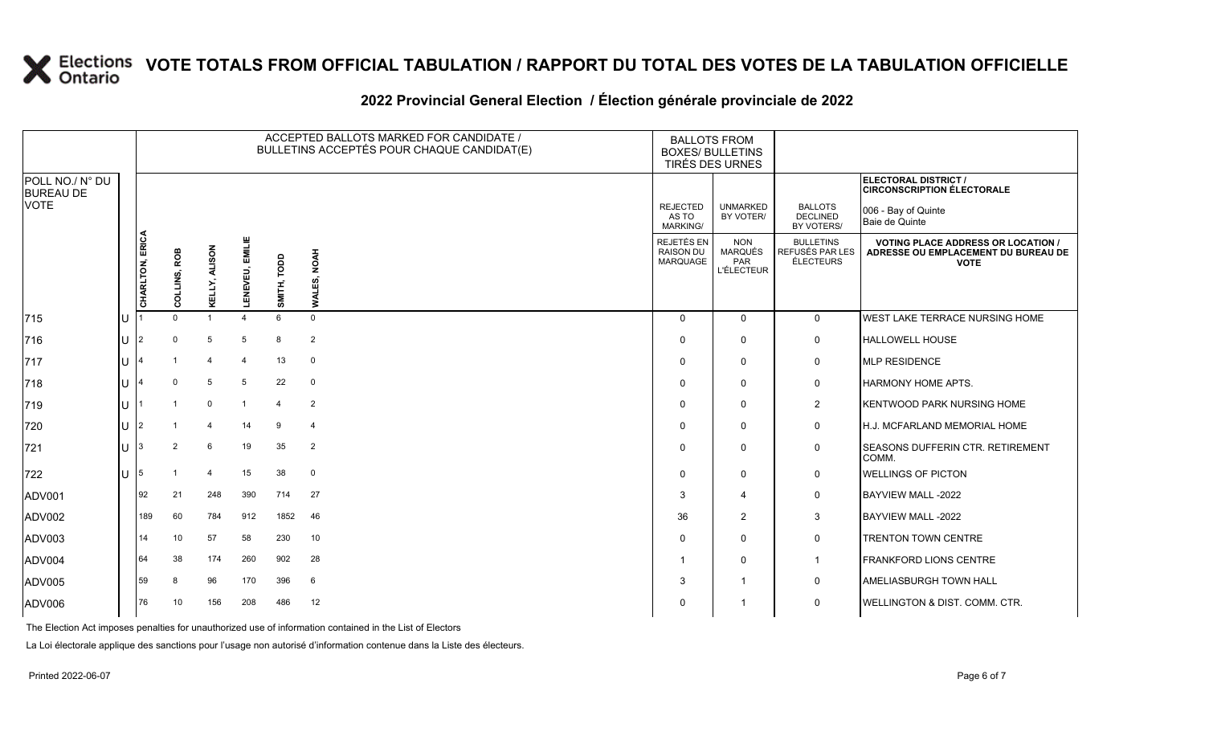#### **2022 Provincial General Election / Élection générale provinciale de 2022**

|                                     |    |                 |                |                |                        | ACCEPTED BALLOTS MARKED FOR CANDIDATE /<br>BULLETINS ACCEPTÉS POUR CHAQUE CANDIDAT(E) |                                   |                                             | <b>BALLOTS FROM</b><br><b>BOXES/ BULLETINS</b><br>TIRÉS DES URNES |                                                  |                                                                                                 |
|-------------------------------------|----|-----------------|----------------|----------------|------------------------|---------------------------------------------------------------------------------------|-----------------------------------|---------------------------------------------|-------------------------------------------------------------------|--------------------------------------------------|-------------------------------------------------------------------------------------------------|
| POLL NO./ N° DU<br><b>BUREAU DE</b> |    |                 |                |                |                        |                                                                                       |                                   |                                             |                                                                   |                                                  | ELECTORAL DISTRICT /<br><b>CIRCONSCRIPTION ÉLECTORALE</b>                                       |
| <b>VOTE</b>                         |    |                 |                |                |                        |                                                                                       |                                   | <b>REJECTED</b><br>AS TO<br><b>MARKING/</b> | <b>UNMARKED</b><br>BY VOTER/                                      | <b>BALLOTS</b><br><b>DECLINED</b><br>BY VOTERS/  | 006 - Bay of Quinte<br>Baie de Quinte                                                           |
|                                     |    | CHARLTON, ERICA | COLLINS, ROB   | KELLY, ALISON  | <b>LENEVEU, EMILIE</b> | SMITH, TODD                                                                           | <b>NOAH</b><br>ដ្ឋ<br><b>LIAW</b> | REJETÉS EN<br><b>RAISON DU</b><br>MARQUAGE  | <b>NON</b><br><b>MARQUÉS</b><br>PAR<br><b>L'ÉLECTEUR</b>          | <b>BULLETINS</b><br>REFUSÉS PAR LES<br>ÉLECTEURS | <b>VOTING PLACE ADDRESS OR LOCATION /</b><br>ADRESSE OU EMPLACEMENT DU BUREAU DE<br><b>VOTE</b> |
| 715                                 | lu |                 | $\Omega$       |                |                        | 6                                                                                     | $\mathbf 0$                       | $\Omega$                                    | $\overline{0}$                                                    | $\mathbf 0$                                      | WEST LAKE TERRACE NURSING HOME                                                                  |
| 716                                 | lu | $\overline{2}$  | $\Omega$       | 5              | 5                      | 8                                                                                     | $\overline{2}$                    | $\Omega$                                    | $\mathbf 0$                                                       | $\mathbf 0$                                      | <b>HALLOWELL HOUSE</b>                                                                          |
| 717                                 | lu |                 |                | $\overline{4}$ | 4                      | 13                                                                                    | $\overline{0}$                    | $\Omega$                                    | $\mathbf 0$                                                       | $\mathbf 0$                                      | MLP RESIDENCE                                                                                   |
| 718                                 | lu |                 | $\Omega$       | 5              | 5                      | 22                                                                                    | $\mathbf 0$                       | $\Omega$                                    | $\mathbf 0$                                                       | 0                                                | <b>HARMONY HOME APTS.</b>                                                                       |
| 719                                 | ΙU |                 |                | $\mathbf 0$    |                        | $\overline{4}$                                                                        | $\overline{2}$                    | $\Omega$                                    | 0                                                                 | $\overline{2}$                                   | <b>KENTWOOD PARK NURSING HOME</b>                                                               |
| 720                                 | lu | $\overline{2}$  |                | $\overline{4}$ | 14                     | 9                                                                                     | $\overline{4}$                    | <sup>0</sup>                                | $\mathbf 0$                                                       | $\mathbf 0$                                      | <b>H.J. MCFARLAND MEMORIAL HOME</b>                                                             |
| 721                                 | lu |                 | $\overline{2}$ | 6              | 19                     | 35                                                                                    | $\overline{2}$                    | 0                                           | $\Omega$                                                          | $\mathbf 0$                                      | SEASONS DUFFERIN CTR. RETIREMENT<br>COMM.                                                       |
| 722                                 | Iυ | 5               |                | $\overline{4}$ | 15                     | 38                                                                                    | $\mathbf 0$                       | $\Omega$                                    | $\mathbf 0$                                                       | $\mathbf 0$                                      | <b>WELLINGS OF PICTON</b>                                                                       |
| <b>ADV001</b>                       |    | 92              | 21             | 248            | 390                    | 714                                                                                   | 27                                | 3                                           | $\overline{4}$                                                    | 0                                                | BAYVIEW MALL -2022                                                                              |
| ADV002                              |    | 189             | 60             | 784            | 912                    | 1852                                                                                  | 46                                | 36                                          | 2                                                                 | 3                                                | BAYVIEW MALL -2022                                                                              |
| ADV003                              |    | 14              | 10             | 57             | 58                     | 230                                                                                   | 10                                | $\Omega$                                    | $\mathbf 0$                                                       | 0                                                | <b>TRENTON TOWN CENTRE</b>                                                                      |
| ADV004                              |    | 64              | 38             | 174            | 260                    | 902                                                                                   | 28                                |                                             | $\mathbf 0$                                                       | $\overline{1}$                                   | FRANKFORD LIONS CENTRE                                                                          |
| ADV005                              |    | 59              | 8              | 96             | 170                    | 396                                                                                   | 6                                 | 3                                           |                                                                   | $\mathbf 0$                                      | AMELIASBURGH TOWN HALL                                                                          |
| ADV006                              |    | 76              | 10             | 156            | 208                    | 486                                                                                   | 12                                | 0                                           |                                                                   | 0                                                | <b>WELLINGTON &amp; DIST. COMM. CTR.</b>                                                        |

The Election Act imposes penalties for unauthorized use of information contained in the List of Electors